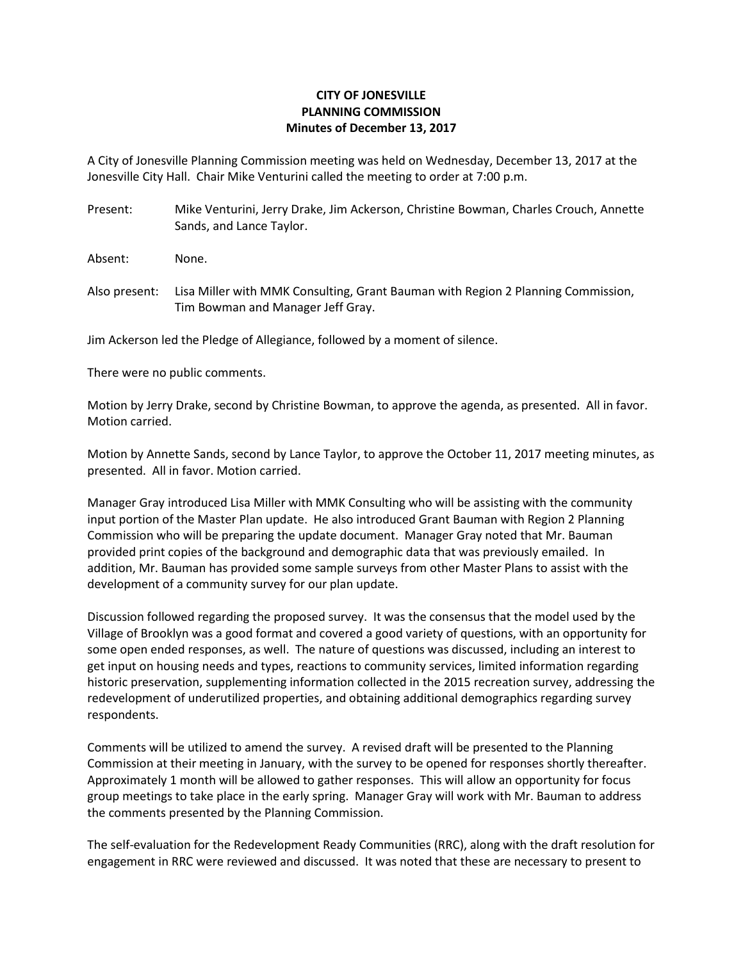## **CITY OF JONESVILLE PLANNING COMMISSION Minutes of December 13, 2017**

A City of Jonesville Planning Commission meeting was held on Wednesday, December 13, 2017 at the Jonesville City Hall. Chair Mike Venturini called the meeting to order at 7:00 p.m.

Present: Mike Venturini, Jerry Drake, Jim Ackerson, Christine Bowman, Charles Crouch, Annette Sands, and Lance Taylor.

Absent: None.

Also present: Lisa Miller with MMK Consulting, Grant Bauman with Region 2 Planning Commission, Tim Bowman and Manager Jeff Gray.

Jim Ackerson led the Pledge of Allegiance, followed by a moment of silence.

There were no public comments.

Motion by Jerry Drake, second by Christine Bowman, to approve the agenda, as presented. All in favor. Motion carried.

Motion by Annette Sands, second by Lance Taylor, to approve the October 11, 2017 meeting minutes, as presented. All in favor. Motion carried.

Manager Gray introduced Lisa Miller with MMK Consulting who will be assisting with the community input portion of the Master Plan update. He also introduced Grant Bauman with Region 2 Planning Commission who will be preparing the update document. Manager Gray noted that Mr. Bauman provided print copies of the background and demographic data that was previously emailed. In addition, Mr. Bauman has provided some sample surveys from other Master Plans to assist with the development of a community survey for our plan update.

Discussion followed regarding the proposed survey. It was the consensus that the model used by the Village of Brooklyn was a good format and covered a good variety of questions, with an opportunity for some open ended responses, as well. The nature of questions was discussed, including an interest to get input on housing needs and types, reactions to community services, limited information regarding historic preservation, supplementing information collected in the 2015 recreation survey, addressing the redevelopment of underutilized properties, and obtaining additional demographics regarding survey respondents.

Comments will be utilized to amend the survey. A revised draft will be presented to the Planning Commission at their meeting in January, with the survey to be opened for responses shortly thereafter. Approximately 1 month will be allowed to gather responses. This will allow an opportunity for focus group meetings to take place in the early spring. Manager Gray will work with Mr. Bauman to address the comments presented by the Planning Commission.

The self-evaluation for the Redevelopment Ready Communities (RRC), along with the draft resolution for engagement in RRC were reviewed and discussed. It was noted that these are necessary to present to